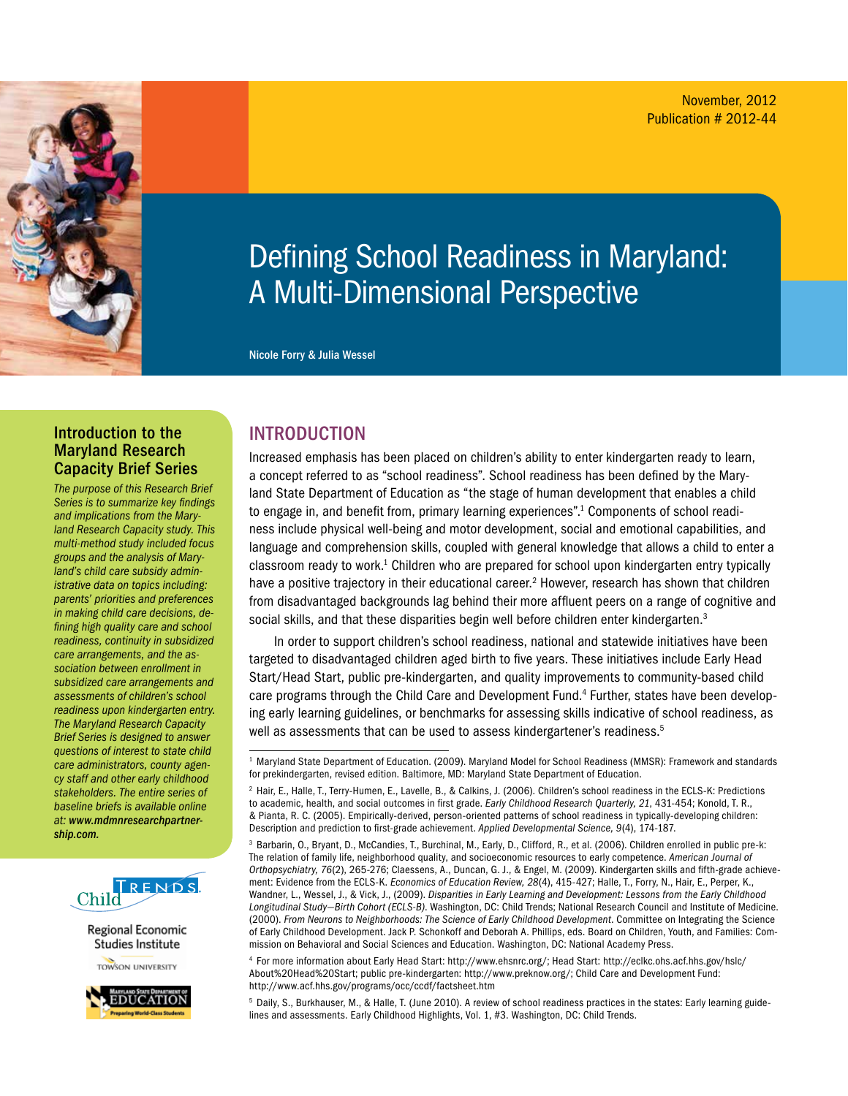

# Defining School Readiness in Maryland: A Multi-Dimensional Perspective

Nicole Forry & Julia Wessel

#### Introduction to the Maryland Research Capacity Brief Series

*The purpose of this Research Brief Series is to summarize key findings and implications from the Maryland Research Capacity study. This multi-method study included focus groups and the analysis of Maryland's child care subsidy administrative data on topics including: parents' priorities and preferences in making child care decisions, defining high quality care and school readiness, continuity in subsidized care arrangements, and the association between enrollment in subsidized care arrangements and assessments of children's school readiness upon kindergarten entry. The Maryland Research Capacity Brief Series is designed to answer questions of interest to state child care administrators, county agency staff and other early childhood stakeholders. The entire series of baseline briefs is available online at: www.mdmnresearchpartnership.com.*



Regional Economic Studies Institute

**TOWSON UNIVERSITY** 



## **INTRODUCTION**

Increased emphasis has been placed on children's ability to enter kindergarten ready to learn, a concept referred to as "school readiness". School readiness has been defined by the Maryland State Department of Education as "the stage of human development that enables a child to engage in, and benefit from, primary learning experiences".<sup>1</sup> Components of school readiness include physical well-being and motor development, social and emotional capabilities, and language and comprehension skills, coupled with general knowledge that allows a child to enter a classroom ready to work.<sup>1</sup> Children who are prepared for school upon kindergarten entry typically have a positive trajectory in their educational career.<sup>2</sup> However, research has shown that children from disadvantaged backgrounds lag behind their more affluent peers on a range of cognitive and social skills, and that these disparities begin well before children enter kindergarten.<sup>3</sup>

In order to support children's school readiness, national and statewide initiatives have been targeted to disadvantaged children aged birth to five years. These initiatives include Early Head Start/Head Start, public pre-kindergarten, and quality improvements to community-based child care programs through the Child Care and Development Fund.<sup>4</sup> Further, states have been developing early learning guidelines, or benchmarks for assessing skills indicative of school readiness, as well as assessments that can be used to assess kindergartener's readiness.<sup>5</sup>

4 For more information about Early Head Start: http://www.ehsnrc.org/; Head Start: http://eclkc.ohs.acf.hhs.gov/hslc/ About%20Head%20Start; public pre-kindergarten: http://www.preknow.org/; Child Care and Development Fund: http://www.acf.hhs.gov/programs/occ/ccdf/factsheet.htm

5 Daily, S., Burkhauser, M., & Halle, T. (June 2010). A review of school readiness practices in the states: Early learning guidelines and assessments. Early Childhood Highlights, Vol. 1, #3. Washington, DC: Child Trends.

<sup>1</sup> Maryland State Department of Education. (2009). Maryland Model for School Readiness (MMSR): Framework and standards for prekindergarten, revised edition. Baltimore, MD: Maryland State Department of Education.

<sup>2</sup> Hair, E., Halle, T., Terry-Humen, E., Lavelle, B., & Calkins, J. (2006). Children's school readiness in the ECLS-K: Predictions to academic, health, and social outcomes in first grade. *Early Childhood Research Quarterly, 21*, 431-454; Konold, T. R., & Pianta, R. C. (2005). Empirically-derived, person-oriented patterns of school readiness in typically-developing children: Description and prediction to first-grade achievement. *Applied Developmental Science, 9*(4), 174-187.

<sup>3</sup> Barbarin, O., Bryant, D., McCandies, T., Burchinal, M., Early, D., Clifford, R., et al. (2006). Children enrolled in public pre-k: The relation of family life, neighborhood quality, and socioeconomic resources to early competence. *American Journal of Orthopsychiatry, 76*(2), 265-276; Claessens, A., Duncan, G. J., & Engel, M. (2009). Kindergarten skills and fifth-grade achievement: Evidence from the ECLS-K. *Economics of Education Review, 28*(4), 415-427; Halle, T., Forry, N., Hair, E., Perper, K., Wandner, L., Wessel, J., & Vick, J., (2009). *Disparities in Early Learning and Development: Lessons from the Early Childhood Longitudinal Study—Birth Cohort (ECLS-B)*. Washington, DC: Child Trends; National Research Council and Institute of Medicine. (2000). *From Neurons to Neighborhoods: The Science of Early Childhood Development*. Committee on Integrating the Science of Early Childhood Development. Jack P. Schonkoff and Deborah A. Phillips, eds. Board on Children, Youth, and Families: Commission on Behavioral and Social Sciences and Education. Washington, DC: National Academy Press.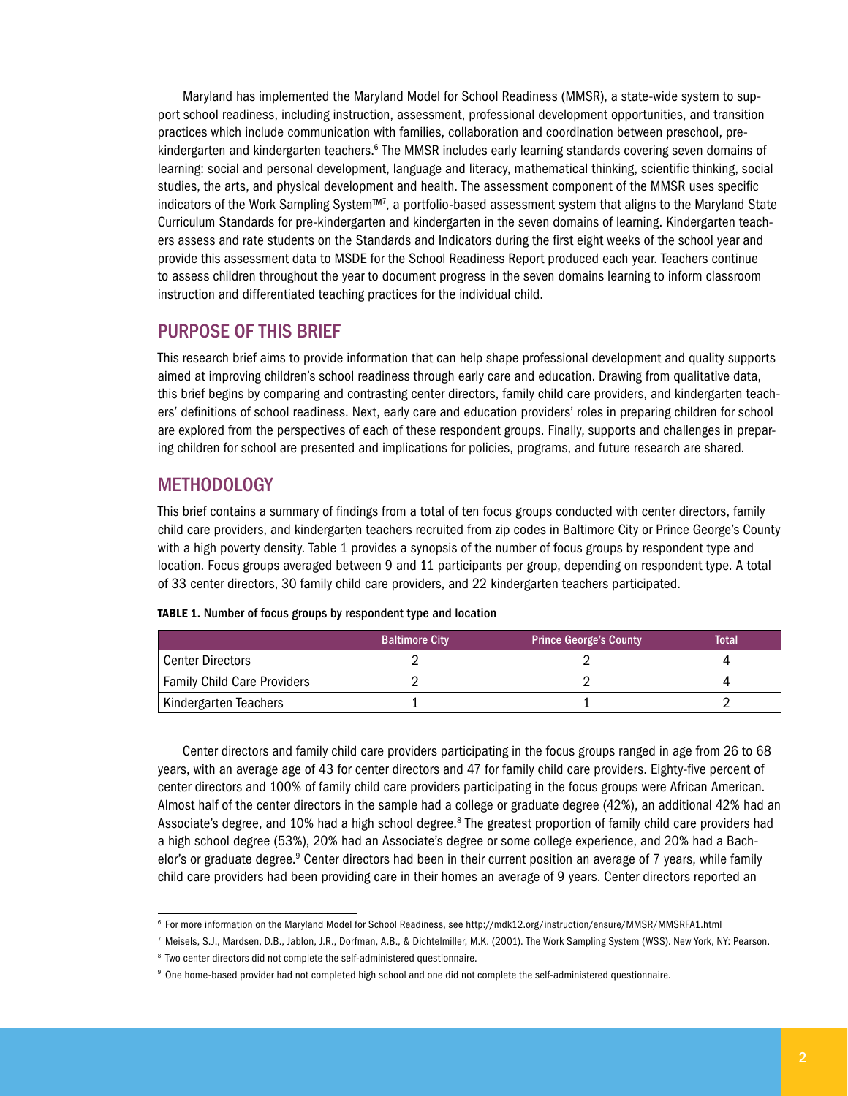Maryland has implemented the Maryland Model for School Readiness (MMSR), a state-wide system to support school readiness, including instruction, assessment, professional development opportunities, and transition practices which include communication with families, collaboration and coordination between preschool, prekindergarten and kindergarten teachers.<sup>6</sup> The MMSR includes early learning standards covering seven domains of learning: social and personal development, language and literacy, mathematical thinking, scientific thinking, social studies, the arts, and physical development and health. The assessment component of the MMSR uses specific indicators of the Work Sampling System™7 , a portfolio-based assessment system that aligns to the Maryland State Curriculum Standards for pre-kindergarten and kindergarten in the seven domains of learning. Kindergarten teachers assess and rate students on the Standards and Indicators during the first eight weeks of the school year and provide this assessment data to MSDE for the School Readiness Report produced each year. Teachers continue to assess children throughout the year to document progress in the seven domains learning to inform classroom instruction and differentiated teaching practices for the individual child.

## Purpose of this Brief

This research brief aims to provide information that can help shape professional development and quality supports aimed at improving children's school readiness through early care and education. Drawing from qualitative data, this brief begins by comparing and contrasting center directors, family child care providers, and kindergarten teachers' definitions of school readiness. Next, early care and education providers' roles in preparing children for school are explored from the perspectives of each of these respondent groups. Finally, supports and challenges in preparing children for school are presented and implications for policies, programs, and future research are shared.

## **METHODOLOGY**

This brief contains a summary of findings from a total of ten focus groups conducted with center directors, family child care providers, and kindergarten teachers recruited from zip codes in Baltimore City or Prince George's County with a high poverty density. Table 1 provides a synopsis of the number of focus groups by respondent type and location. Focus groups averaged between 9 and 11 participants per group, depending on respondent type. A total of 33 center directors, 30 family child care providers, and 22 kindergarten teachers participated.

|                                    | <b>Baltimore City</b> | <b>Prince George's County</b> | <b>Total</b> |
|------------------------------------|-----------------------|-------------------------------|--------------|
| <b>Center Directors</b>            |                       |                               |              |
| <b>Family Child Care Providers</b> |                       |                               |              |
| Kindergarten Teachers              |                       |                               |              |

|  |  |  | TABLE 1. Number of focus groups by respondent type and location |  |
|--|--|--|-----------------------------------------------------------------|--|
|  |  |  |                                                                 |  |

Center directors and family child care providers participating in the focus groups ranged in age from 26 to 68 years, with an average age of 43 for center directors and 47 for family child care providers. Eighty-five percent of center directors and 100% of family child care providers participating in the focus groups were African American. Almost half of the center directors in the sample had a college or graduate degree (42%), an additional 42% had an Associate's degree, and 10% had a high school degree.<sup>8</sup> The greatest proportion of family child care providers had a high school degree (53%), 20% had an Associate's degree or some college experience, and 20% had a Bachelor's or graduate degree.<sup>9</sup> Center directors had been in their current position an average of 7 years, while family child care providers had been providing care in their homes an average of 9 years. Center directors reported an

<sup>6</sup> For more information on the Maryland Model for School Readiness, see http://mdk12.org/instruction/ensure/MMSR/MMSRFA1.html

<sup>7</sup> Meisels, S.J., Mardsen, D.B., Jablon, J.R., Dorfman, A.B., & Dichtelmiller, M.K. (2001). The Work Sampling System (WSS). New York, NY: Pearson. 8 Two center directors did not complete the self-administered questionnaire.

<sup>9</sup> One home-based provider had not completed high school and one did not complete the self-administered questionnaire.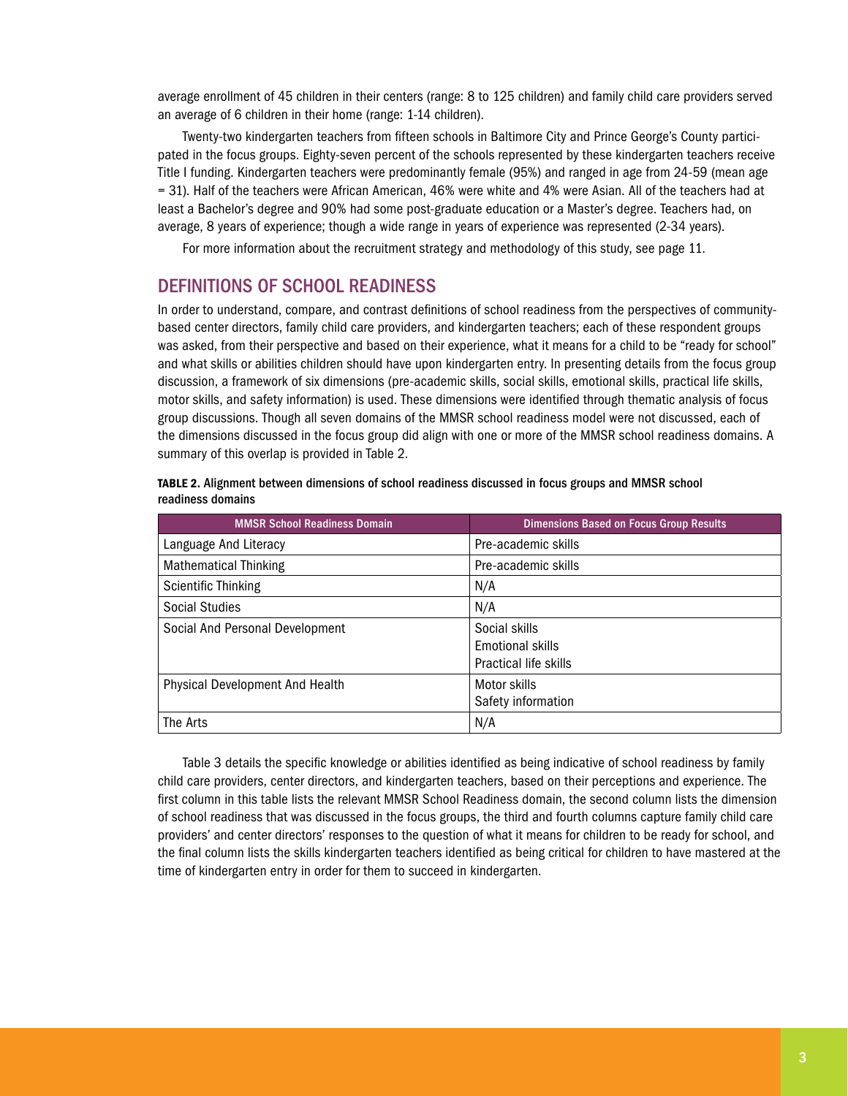average enrollment of 45 children in their centers (range: 8 to 125 children) and family child care providers served an average of 6 children in their home (range: 1-14 children).

Twenty-two kindergarten teachers from fifteen schools in Baltimore City and Prince George's County participated in the focus groups. Eighty-seven percent of the schools represented by these kindergarten teachers receive Title I funding. Kindergarten teachers were predominantly female (95%) and ranged in age from 24-59 (mean age = 31). Half of the teachers were African American, 46% were white and 4% were Asian. All of the teachers had at least a Bachelor's degree and 90% had some post-graduate education or a Master's degree. Teachers had, on average, 8 years of experience; though a wide range in years of experience was represented (2-34 years).

For more information about the recruitment strategy and methodology of this study, see page 11.

### Definitions of School Readiness

In order to understand, compare, and contrast definitions of school readiness from the perspectives of communitybased center directors, family child care providers, and kindergarten teachers; each of these respondent groups was asked, from their perspective and based on their experience, what it means for a child to be "ready for school" and what skills or abilities children should have upon kindergarten entry. In presenting details from the focus group discussion, a framework of six dimensions (pre-academic skills, social skills, emotional skills, practical life skills, motor skills, and safety information) is used. These dimensions were identified through thematic analysis of focus group discussions. Though all seven domains of the MMSR school readiness model were not discussed, each of the dimensions discussed in the focus group did align with one or more of the MMSR school readiness domains. A summary of this overlap is provided in Table 2.

|                   |  | TABLE 2. Alignment between dimensions of school readiness discussed in focus groups and MMSR school |  |
|-------------------|--|-----------------------------------------------------------------------------------------------------|--|
| readiness domains |  |                                                                                                     |  |

| <b>MMSR School Readiness Domain</b>    | <b>Dimensions Based on Focus Group Results</b>                    |
|----------------------------------------|-------------------------------------------------------------------|
| Language And Literacy                  | Pre-academic skills                                               |
| <b>Mathematical Thinking</b>           | Pre-academic skills                                               |
| <b>Scientific Thinking</b>             | N/A                                                               |
| <b>Social Studies</b>                  | N/A                                                               |
| Social And Personal Development        | Social skills<br><b>Emotional skills</b><br>Practical life skills |
| <b>Physical Development And Health</b> | Motor skills<br>Safety information                                |
| The Arts                               | N/A                                                               |

Table 3 details the specific knowledge or abilities identified as being indicative of school readiness by family child care providers, center directors, and kindergarten teachers, based on their perceptions and experience. The first column in this table lists the relevant MMSR School Readiness domain, the second column lists the dimension of school readiness that was discussed in the focus groups, the third and fourth columns capture family child care providers' and center directors' responses to the question of what it means for children to be ready for school, and the final column lists the skills kindergarten teachers identified as being critical for children to have mastered at the time of kindergarten entry in order for them to succeed in kindergarten.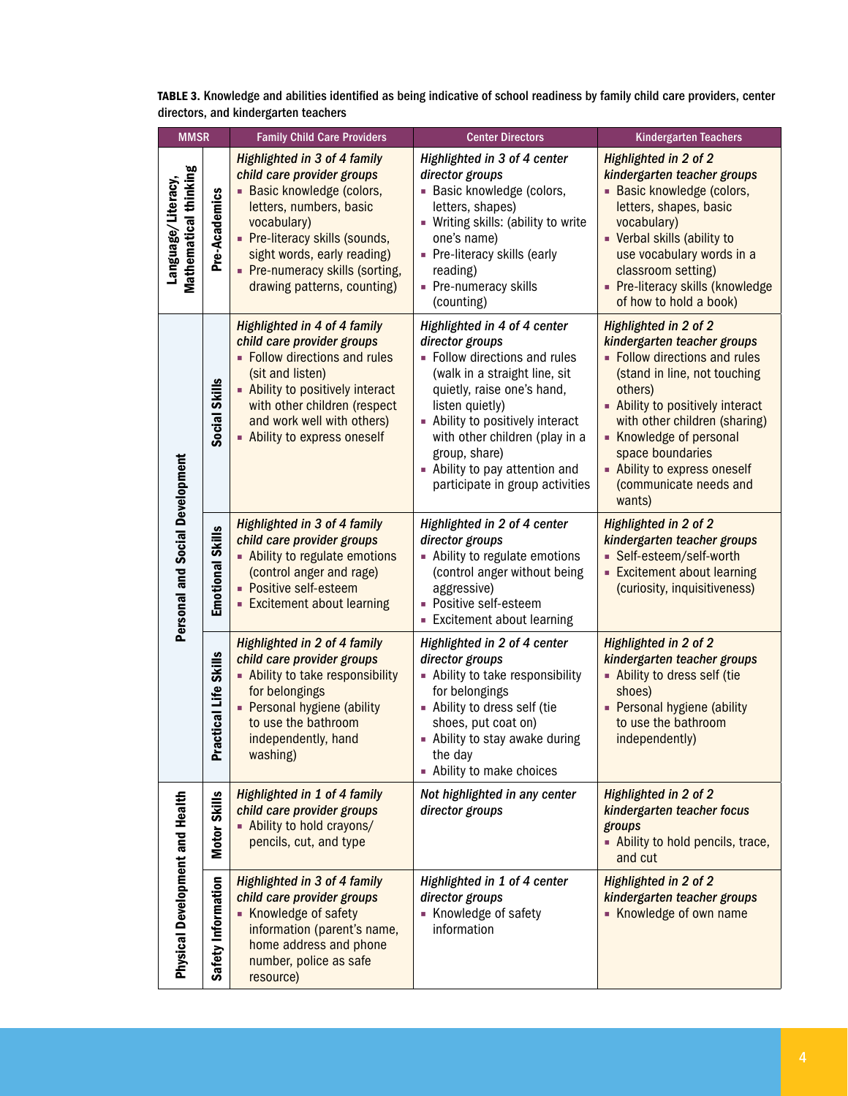| TABLE 3. Knowledge and abilities identified as being indicative of school readiness by family child care providers, center |  |
|----------------------------------------------------------------------------------------------------------------------------|--|
| directors, and kindergarten teachers                                                                                       |  |

| <b>MMSR</b>                                 |                           | <b>Family Child Care Providers</b>                                                                                                                                                                                                                                           | <b>Center Directors</b>                                                                                                                                                                                                                                                                                                        | <b>Kindergarten Teachers</b>                                                                                                                                                                                                                                                                                           |
|---------------------------------------------|---------------------------|------------------------------------------------------------------------------------------------------------------------------------------------------------------------------------------------------------------------------------------------------------------------------|--------------------------------------------------------------------------------------------------------------------------------------------------------------------------------------------------------------------------------------------------------------------------------------------------------------------------------|------------------------------------------------------------------------------------------------------------------------------------------------------------------------------------------------------------------------------------------------------------------------------------------------------------------------|
| Mathematical thinking<br>Language/Literacy, | Pre-Academics             | <b>Highlighted in 3 of 4 family</b><br>child care provider groups<br>- Basic knowledge (colors,<br>letters, numbers, basic<br>vocabulary)<br>- Pre-literacy skills (sounds,<br>sight words, early reading)<br>• Pre-numeracy skills (sorting,<br>drawing patterns, counting) | Highlighted in 3 of 4 center<br>director groups<br>- Basic knowledge (colors,<br>letters, shapes)<br>- Writing skills: (ability to write<br>one's name)<br>- Pre-literacy skills (early<br>reading)<br>• Pre-numeracy skills<br>(counting)                                                                                     | Highlighted in 2 of 2<br>kindergarten teacher groups<br>- Basic knowledge (colors,<br>letters, shapes, basic<br>vocabulary)<br>• Verbal skills (ability to<br>use vocabulary words in a<br>classroom setting)<br>- Pre-literacy skills (knowledge<br>of how to hold a book)                                            |
|                                             | Social Skills             | Highlighted in 4 of 4 family<br>child care provider groups<br>• Follow directions and rules<br>(sit and listen)<br>- Ability to positively interact<br>with other children (respect<br>and work well with others)<br>- Ability to express oneself                            | Highlighted in 4 of 4 center<br>director groups<br>- Follow directions and rules<br>(walk in a straight line, sit<br>quietly, raise one's hand,<br>listen quietly)<br>- Ability to positively interact<br>with other children (play in a<br>group, share)<br>- Ability to pay attention and<br>participate in group activities | Highlighted in 2 of 2<br>kindergarten teacher groups<br>• Follow directions and rules<br>(stand in line, not touching<br>others)<br>- Ability to positively interact<br>with other children (sharing)<br>Knowledge of personal<br>space boundaries<br>- Ability to express oneself<br>(communicate needs and<br>wants) |
| <b>Personal and Social Development</b>      | <b>Emotional Skills</b>   | <b>Highlighted in 3 of 4 family</b><br>child care provider groups<br>- Ability to regulate emotions<br>(control anger and rage)<br>- Positive self-esteem<br><b>Excitement about learning</b>                                                                                | Highlighted in 2 of 4 center<br>director groups<br>- Ability to regulate emotions<br>(control anger without being<br>aggressive)<br>- Positive self-esteem<br><b>Excitement about learning</b>                                                                                                                                 | Highlighted in 2 of 2<br>kindergarten teacher groups<br>- Self-esteem/self-worth<br><b>Excitement about learning</b><br>(curiosity, inquisitiveness)                                                                                                                                                                   |
|                                             | ctical Life Skills<br>Pra | Highlighted in 2 of 4 family<br>child care provider groups<br>- Ability to take responsibility<br>for belongings<br>- Personal hygiene (ability<br>to use the bathroom<br>independently, hand<br>washing)                                                                    | Highlighted in 2 of 4 center<br>director groups<br>- Ability to take responsibility<br>for belongings<br>- Ability to dress self (tie<br>shoes, put coat on)<br>- Ability to stay awake during<br>the day<br>- Ability to make choices                                                                                         | Highlighted in 2 of 2<br>kindergarten teacher groups<br>- Ability to dress self (tie<br>shoes)<br>- Personal hygiene (ability<br>to use the bathroom<br>independently)                                                                                                                                                 |
|                                             | <b>Motor Skills</b>       | <b>Highlighted in 1 of 4 family</b><br>child care provider groups<br>- Ability to hold crayons/<br>pencils, cut, and type                                                                                                                                                    | Not highlighted in any center<br>director groups                                                                                                                                                                                                                                                                               | <b>Highlighted in 2 of 2</b><br>kindergarten teacher focus<br>groups<br>- Ability to hold pencils, trace,<br>and cut                                                                                                                                                                                                   |
| Physical Development and Health             | Safety Information        | <b>Highlighted in 3 of 4 family</b><br>child care provider groups<br>Knowledge of safety<br>information (parent's name,<br>home address and phone<br>number, police as safe<br>resource)                                                                                     | Highlighted in 1 of 4 center<br>director groups<br>Knowledge of safety<br>information                                                                                                                                                                                                                                          | Highlighted in 2 of 2<br>kindergarten teacher groups<br>Knowledge of own name                                                                                                                                                                                                                                          |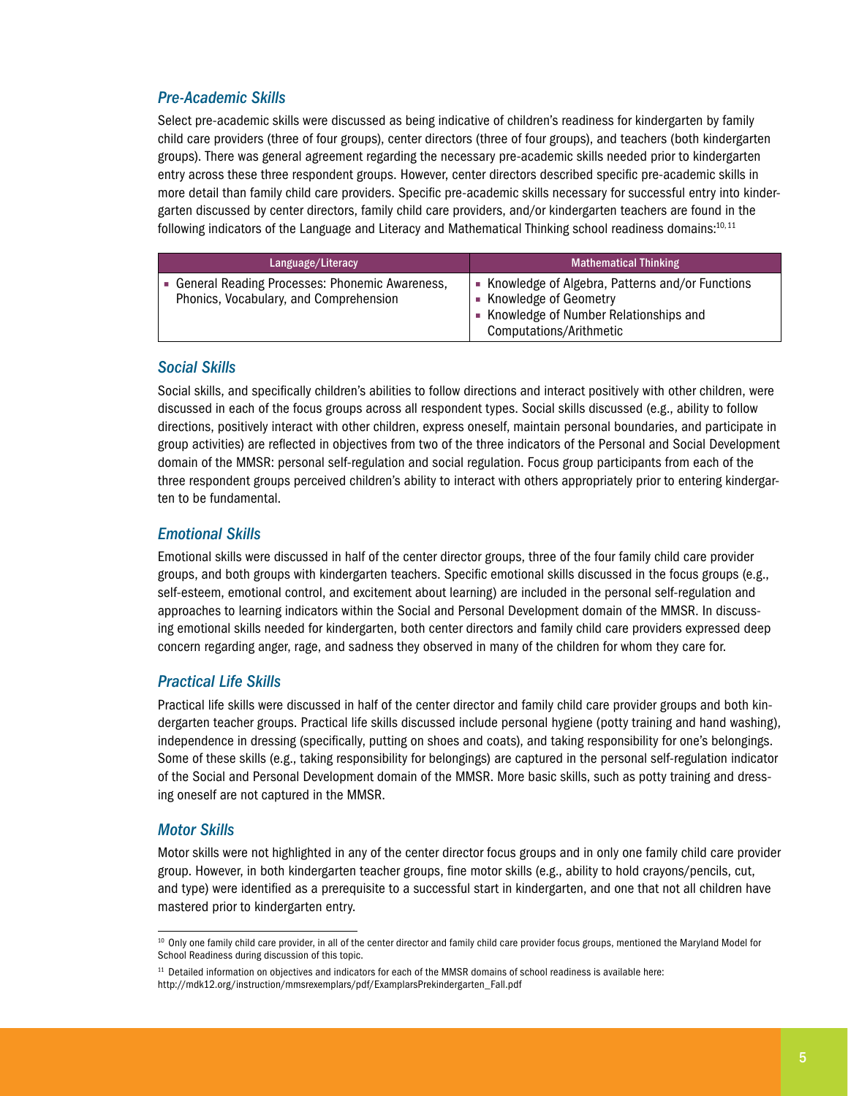## *Pre-Academic Skills*

Select pre-academic skills were discussed as being indicative of children's readiness for kindergarten by family child care providers (three of four groups), center directors (three of four groups), and teachers (both kindergarten groups). There was general agreement regarding the necessary pre-academic skills needed prior to kindergarten entry across these three respondent groups. However, center directors described specific pre-academic skills in more detail than family child care providers. Specific pre-academic skills necessary for successful entry into kindergarten discussed by center directors, family child care providers, and/or kindergarten teachers are found in the following indicators of the Language and Literacy and Mathematical Thinking school readiness domains:<sup>10,11</sup>

| Language/Literacy                                                                          | <b>Mathematical Thinking</b>                                                                                                                       |
|--------------------------------------------------------------------------------------------|----------------------------------------------------------------------------------------------------------------------------------------------------|
| • General Reading Processes: Phonemic Awareness,<br>Phonics, Vocabulary, and Comprehension | • Knowledge of Algebra, Patterns and/or Functions<br>• Knowledge of Geometry<br>• Knowledge of Number Relationships and<br>Computations/Arithmetic |

#### *Social Skills*

Social skills, and specifically children's abilities to follow directions and interact positively with other children, were discussed in each of the focus groups across all respondent types. Social skills discussed (e.g., ability to follow directions, positively interact with other children, express oneself, maintain personal boundaries, and participate in group activities) are reflected in objectives from two of the three indicators of the Personal and Social Development domain of the MMSR: personal self-regulation and social regulation. Focus group participants from each of the three respondent groups perceived children's ability to interact with others appropriately prior to entering kindergarten to be fundamental.

#### *Emotional Skills*

Emotional skills were discussed in half of the center director groups, three of the four family child care provider groups, and both groups with kindergarten teachers. Specific emotional skills discussed in the focus groups (e.g., self-esteem, emotional control, and excitement about learning) are included in the personal self-regulation and approaches to learning indicators within the Social and Personal Development domain of the MMSR. In discussing emotional skills needed for kindergarten, both center directors and family child care providers expressed deep concern regarding anger, rage, and sadness they observed in many of the children for whom they care for.

#### *Practical Life Skills*

Practical life skills were discussed in half of the center director and family child care provider groups and both kindergarten teacher groups. Practical life skills discussed include personal hygiene (potty training and hand washing), independence in dressing (specifically, putting on shoes and coats), and taking responsibility for one's belongings. Some of these skills (e.g., taking responsibility for belongings) are captured in the personal self-regulation indicator of the Social and Personal Development domain of the MMSR. More basic skills, such as potty training and dressing oneself are not captured in the MMSR.

#### *Motor Skills*

Motor skills were not highlighted in any of the center director focus groups and in only one family child care provider group. However, in both kindergarten teacher groups, fine motor skills (e.g., ability to hold crayons/pencils, cut, and type) were identified as a prerequisite to a successful start in kindergarten, and one that not all children have mastered prior to kindergarten entry.

<sup>&</sup>lt;sup>10</sup> Only one family child care provider, in all of the center director and family child care provider focus groups, mentioned the Maryland Model for School Readiness during discussion of this topic.

 $11$  Detailed information on objectives and indicators for each of the MMSR domains of school readiness is available here: http://mdk12.org/instruction/mmsrexemplars/pdf/ExamplarsPrekindergarten\_Fall.pdf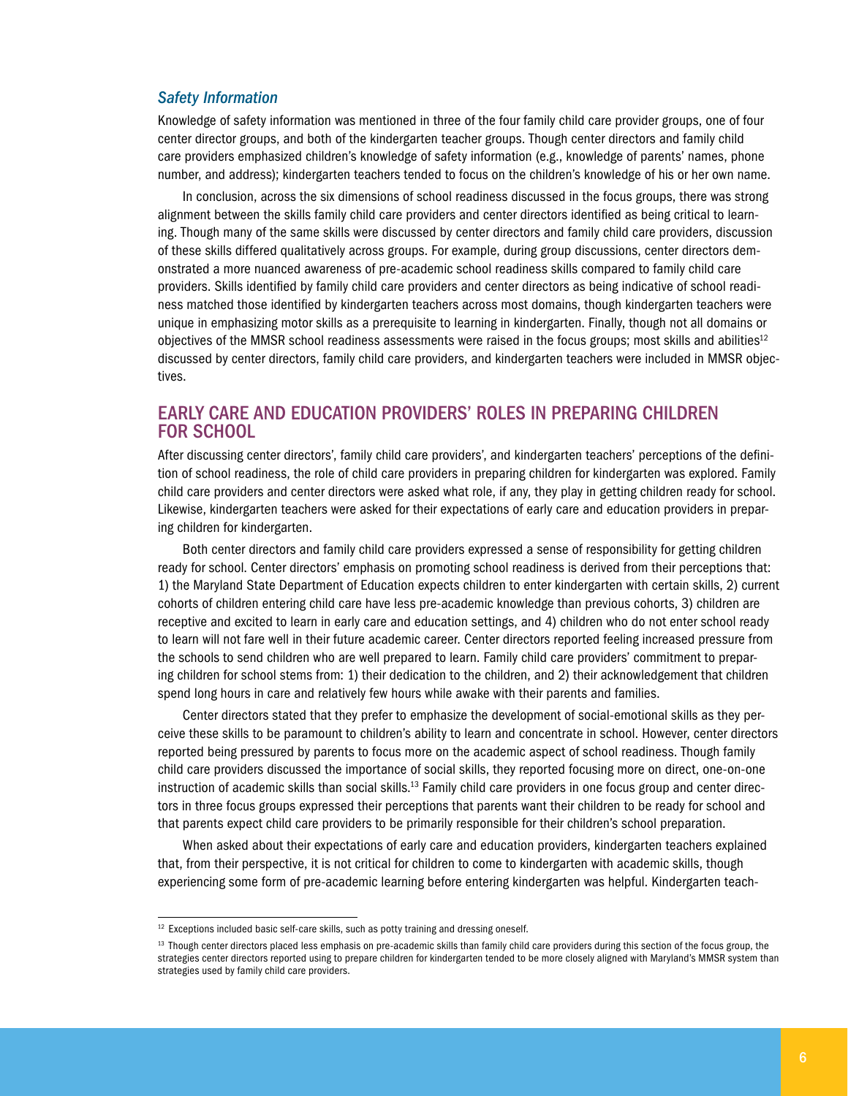#### *Safety Information*

Knowledge of safety information was mentioned in three of the four family child care provider groups, one of four center director groups, and both of the kindergarten teacher groups. Though center directors and family child care providers emphasized children's knowledge of safety information (e.g., knowledge of parents' names, phone number, and address); kindergarten teachers tended to focus on the children's knowledge of his or her own name.

In conclusion, across the six dimensions of school readiness discussed in the focus groups, there was strong alignment between the skills family child care providers and center directors identified as being critical to learning. Though many of the same skills were discussed by center directors and family child care providers, discussion of these skills differed qualitatively across groups. For example, during group discussions, center directors demonstrated a more nuanced awareness of pre-academic school readiness skills compared to family child care providers. Skills identified by family child care providers and center directors as being indicative of school readiness matched those identified by kindergarten teachers across most domains, though kindergarten teachers were unique in emphasizing motor skills as a prerequisite to learning in kindergarten. Finally, though not all domains or objectives of the MMSR school readiness assessments were raised in the focus groups; most skills and abilities $12$ discussed by center directors, family child care providers, and kindergarten teachers were included in MMSR objectives.

## Early Care and Education Providers' Roles in Preparing Children for School

After discussing center directors', family child care providers', and kindergarten teachers' perceptions of the definition of school readiness, the role of child care providers in preparing children for kindergarten was explored. Family child care providers and center directors were asked what role, if any, they play in getting children ready for school. Likewise, kindergarten teachers were asked for their expectations of early care and education providers in preparing children for kindergarten.

Both center directors and family child care providers expressed a sense of responsibility for getting children ready for school. Center directors' emphasis on promoting school readiness is derived from their perceptions that: 1) the Maryland State Department of Education expects children to enter kindergarten with certain skills, 2) current cohorts of children entering child care have less pre-academic knowledge than previous cohorts, 3) children are receptive and excited to learn in early care and education settings, and 4) children who do not enter school ready to learn will not fare well in their future academic career. Center directors reported feeling increased pressure from the schools to send children who are well prepared to learn. Family child care providers' commitment to preparing children for school stems from: 1) their dedication to the children, and 2) their acknowledgement that children spend long hours in care and relatively few hours while awake with their parents and families.

Center directors stated that they prefer to emphasize the development of social-emotional skills as they perceive these skills to be paramount to children's ability to learn and concentrate in school. However, center directors reported being pressured by parents to focus more on the academic aspect of school readiness. Though family child care providers discussed the importance of social skills, they reported focusing more on direct, one-on-one instruction of academic skills than social skills.13 Family child care providers in one focus group and center directors in three focus groups expressed their perceptions that parents want their children to be ready for school and that parents expect child care providers to be primarily responsible for their children's school preparation.

When asked about their expectations of early care and education providers, kindergarten teachers explained that, from their perspective, it is not critical for children to come to kindergarten with academic skills, though experiencing some form of pre-academic learning before entering kindergarten was helpful. Kindergarten teach-

<sup>&</sup>lt;sup>12</sup> Exceptions included basic self-care skills, such as potty training and dressing oneself.

<sup>&</sup>lt;sup>13</sup> Though center directors placed less emphasis on pre-academic skills than family child care providers during this section of the focus group, the strategies center directors reported using to prepare children for kindergarten tended to be more closely aligned with Maryland's MMSR system than strategies used by family child care providers.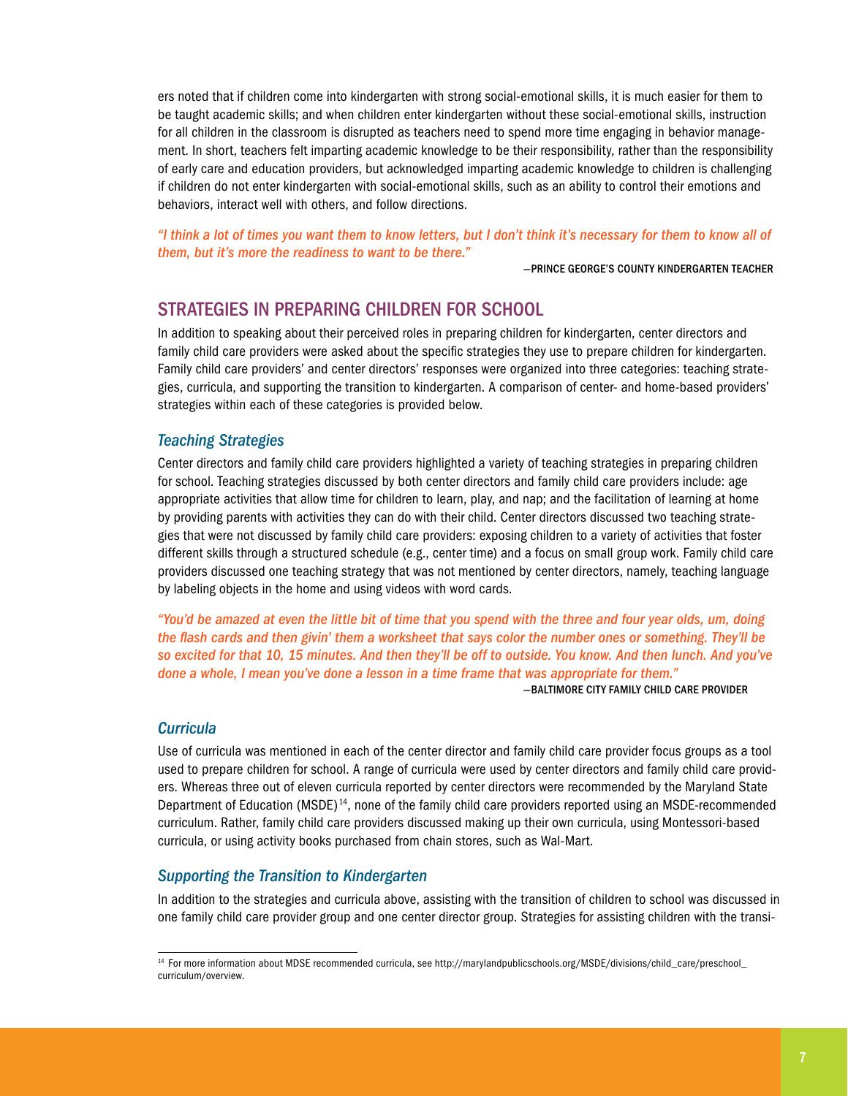ers noted that if children come into kindergarten with strong social-emotional skills, it is much easier for them to be taught academic skills; and when children enter kindergarten without these social-emotional skills, instruction for all children in the classroom is disrupted as teachers need to spend more time engaging in behavior management. In short, teachers felt imparting academic knowledge to be their responsibility, rather than the responsibility of early care and education providers, but acknowledged imparting academic knowledge to children is challenging if children do not enter kindergarten with social-emotional skills, such as an ability to control their emotions and behaviors, interact well with others, and follow directions.

*"I think a lot of times you want them to know letters, but I don't think it's necessary for them to know all of them, but it's more the readiness to want to be there."*

—Prince George's County kindergarten teacher

## Strategies in Preparing Children for School

In addition to speaking about their perceived roles in preparing children for kindergarten, center directors and family child care providers were asked about the specific strategies they use to prepare children for kindergarten. Family child care providers' and center directors' responses were organized into three categories: teaching strategies, curricula, and supporting the transition to kindergarten. A comparison of center- and home-based providers' strategies within each of these categories is provided below.

#### *Teaching Strategies*

Center directors and family child care providers highlighted a variety of teaching strategies in preparing children for school. Teaching strategies discussed by both center directors and family child care providers include: age appropriate activities that allow time for children to learn, play, and nap; and the facilitation of learning at home by providing parents with activities they can do with their child. Center directors discussed two teaching strategies that were not discussed by family child care providers: exposing children to a variety of activities that foster different skills through a structured schedule (e.g., center time) and a focus on small group work. Family child care providers discussed one teaching strategy that was not mentioned by center directors, namely, teaching language by labeling objects in the home and using videos with word cards.

*"You'd be amazed at even the little bit of time that you spend with the three and four year olds, um, doing the flash cards and then givin' them a worksheet that says color the number ones or something. They'll be so excited for that 10, 15 minutes. And then they'll be off to outside. You know. And then lunch. And you've done a whole, I mean you've done a lesson in a time frame that was appropriate for them."*

—Baltimore City Family Child Care Provider

#### *Curricula*

Use of curricula was mentioned in each of the center director and family child care provider focus groups as a tool used to prepare children for school. A range of curricula were used by center directors and family child care providers. Whereas three out of eleven curricula reported by center directors were recommended by the Maryland State Department of Education (MSDE)<sup>14</sup>, none of the family child care providers reported using an MSDE-recommended curriculum. Rather, family child care providers discussed making up their own curricula, using Montessori-based curricula, or using activity books purchased from chain stores, such as Wal-Mart.

#### *Supporting the Transition to Kindergarten*

In addition to the strategies and curricula above, assisting with the transition of children to school was discussed in one family child care provider group and one center director group. Strategies for assisting children with the transi-

<sup>14</sup> For more information about MDSE recommended curricula, see http://marylandpublicschools.org/MSDE/divisions/child\_care/preschool\_ curriculum/overview.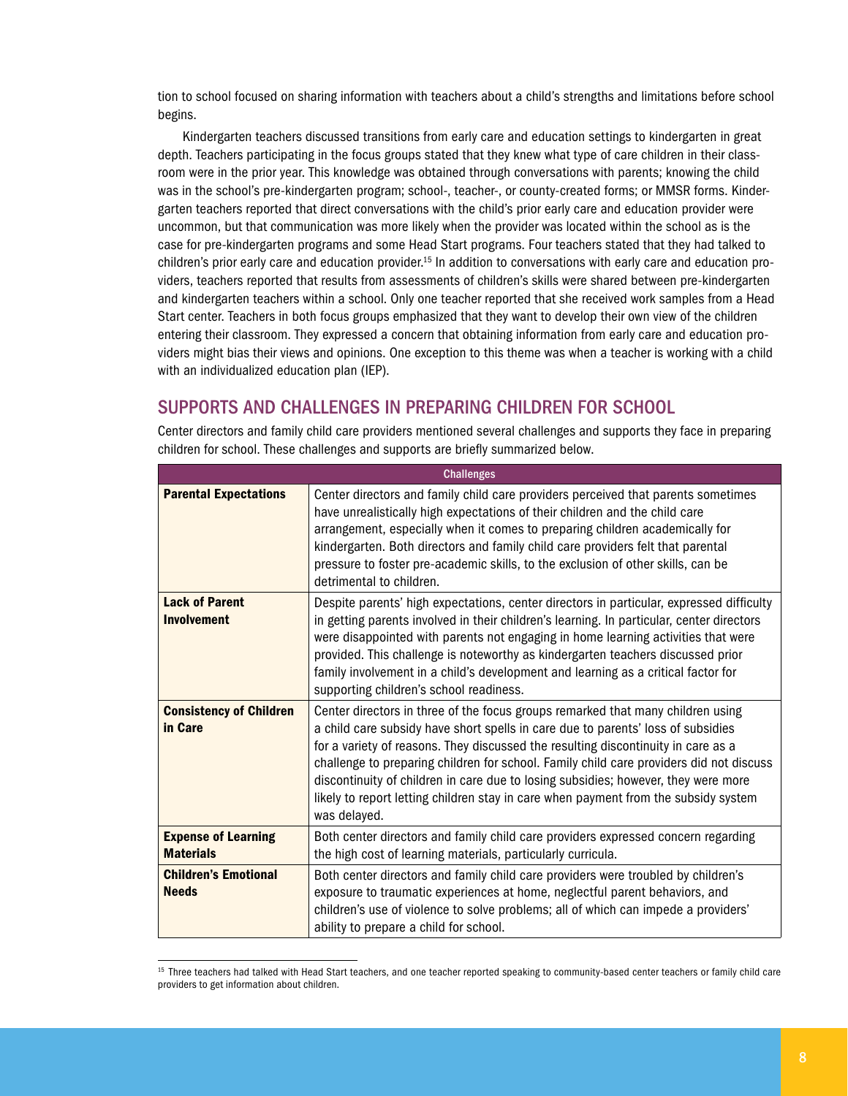tion to school focused on sharing information with teachers about a child's strengths and limitations before school begins.

Kindergarten teachers discussed transitions from early care and education settings to kindergarten in great depth. Teachers participating in the focus groups stated that they knew what type of care children in their classroom were in the prior year. This knowledge was obtained through conversations with parents; knowing the child was in the school's pre-kindergarten program; school-, teacher-, or county-created forms; or MMSR forms. Kindergarten teachers reported that direct conversations with the child's prior early care and education provider were uncommon, but that communication was more likely when the provider was located within the school as is the case for pre-kindergarten programs and some Head Start programs. Four teachers stated that they had talked to children's prior early care and education provider.15 In addition to conversations with early care and education providers, teachers reported that results from assessments of children's skills were shared between pre-kindergarten and kindergarten teachers within a school. Only one teacher reported that she received work samples from a Head Start center. Teachers in both focus groups emphasized that they want to develop their own view of the children entering their classroom. They expressed a concern that obtaining information from early care and education providers might bias their views and opinions. One exception to this theme was when a teacher is working with a child with an individualized education plan (IEP).

## Supports and Challenges in Preparing Children for School

| <b>Challenges</b>                              |                                                                                                                                                                                                                                                                                                                                                                                                                                                                                                                                                  |  |  |
|------------------------------------------------|--------------------------------------------------------------------------------------------------------------------------------------------------------------------------------------------------------------------------------------------------------------------------------------------------------------------------------------------------------------------------------------------------------------------------------------------------------------------------------------------------------------------------------------------------|--|--|
| <b>Parental Expectations</b>                   | Center directors and family child care providers perceived that parents sometimes<br>have unrealistically high expectations of their children and the child care<br>arrangement, especially when it comes to preparing children academically for<br>kindergarten. Both directors and family child care providers felt that parental<br>pressure to foster pre-academic skills, to the exclusion of other skills, can be<br>detrimental to children.                                                                                              |  |  |
| <b>Lack of Parent</b><br><b>Involvement</b>    | Despite parents' high expectations, center directors in particular, expressed difficulty<br>in getting parents involved in their children's learning. In particular, center directors<br>were disappointed with parents not engaging in home learning activities that were<br>provided. This challenge is noteworthy as kindergarten teachers discussed prior<br>family involvement in a child's development and learning as a critical factor for<br>supporting children's school readiness.                                                    |  |  |
| <b>Consistency of Children</b><br>in Care      | Center directors in three of the focus groups remarked that many children using<br>a child care subsidy have short spells in care due to parents' loss of subsidies<br>for a variety of reasons. They discussed the resulting discontinuity in care as a<br>challenge to preparing children for school. Family child care providers did not discuss<br>discontinuity of children in care due to losing subsidies; however, they were more<br>likely to report letting children stay in care when payment from the subsidy system<br>was delayed. |  |  |
| <b>Expense of Learning</b><br><b>Materials</b> | Both center directors and family child care providers expressed concern regarding<br>the high cost of learning materials, particularly curricula.                                                                                                                                                                                                                                                                                                                                                                                                |  |  |
| <b>Children's Emotional</b><br><b>Needs</b>    | Both center directors and family child care providers were troubled by children's<br>exposure to traumatic experiences at home, neglectful parent behaviors, and<br>children's use of violence to solve problems; all of which can impede a providers'<br>ability to prepare a child for school.                                                                                                                                                                                                                                                 |  |  |

Center directors and family child care providers mentioned several challenges and supports they face in preparing children for school. These challenges and supports are briefly summarized below.

<sup>&</sup>lt;sup>15</sup> Three teachers had talked with Head Start teachers, and one teacher reported speaking to community-based center teachers or family child care providers to get information about children.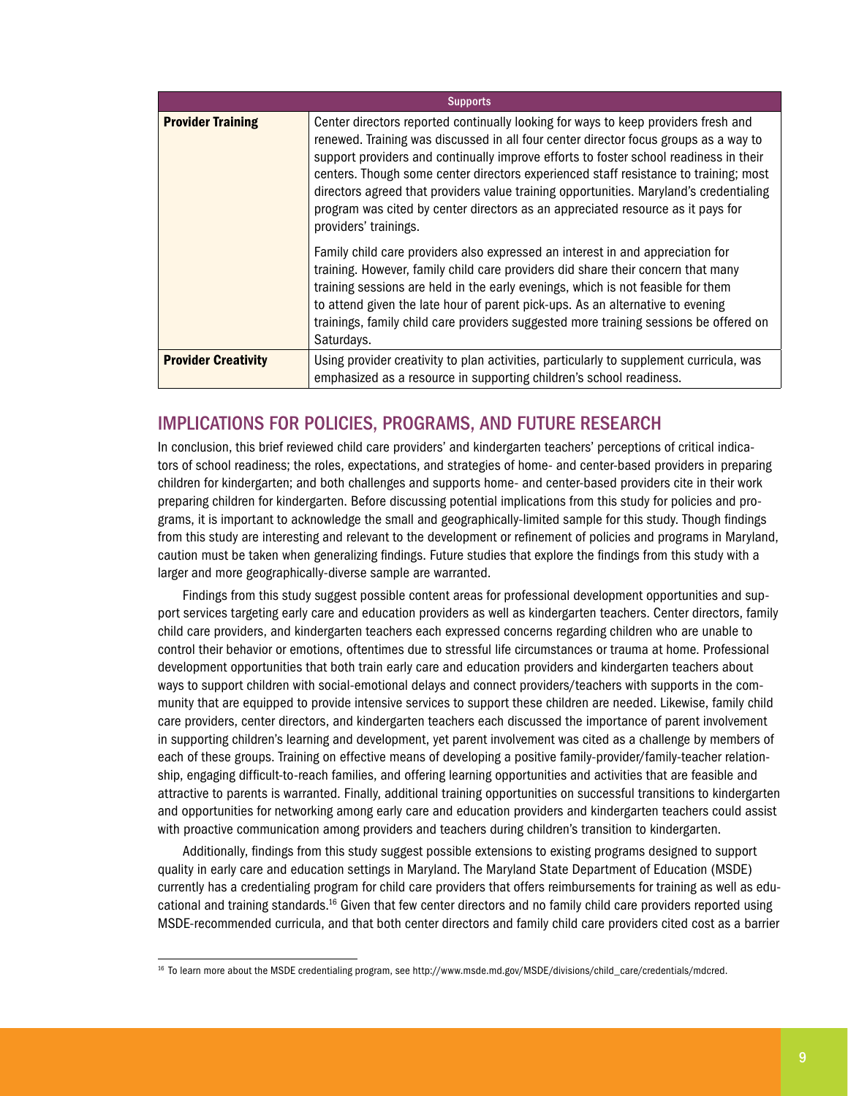| <b>Supports</b>            |                                                                                                                                                                                                                                                                                                                                                                                                                                                                                                                                                                   |  |  |  |
|----------------------------|-------------------------------------------------------------------------------------------------------------------------------------------------------------------------------------------------------------------------------------------------------------------------------------------------------------------------------------------------------------------------------------------------------------------------------------------------------------------------------------------------------------------------------------------------------------------|--|--|--|
| <b>Provider Training</b>   | Center directors reported continually looking for ways to keep providers fresh and<br>renewed. Training was discussed in all four center director focus groups as a way to<br>support providers and continually improve efforts to foster school readiness in their<br>centers. Though some center directors experienced staff resistance to training; most<br>directors agreed that providers value training opportunities. Maryland's credentialing<br>program was cited by center directors as an appreciated resource as it pays for<br>providers' trainings. |  |  |  |
|                            | Family child care providers also expressed an interest in and appreciation for<br>training. However, family child care providers did share their concern that many<br>training sessions are held in the early evenings, which is not feasible for them<br>to attend given the late hour of parent pick-ups. As an alternative to evening<br>trainings, family child care providers suggested more training sessions be offered on<br>Saturdays.                                                                                                                   |  |  |  |
| <b>Provider Creativity</b> | Using provider creativity to plan activities, particularly to supplement curricula, was<br>emphasized as a resource in supporting children's school readiness.                                                                                                                                                                                                                                                                                                                                                                                                    |  |  |  |

## Implications for Policies, Programs, and Future Research

In conclusion, this brief reviewed child care providers' and kindergarten teachers' perceptions of critical indicators of school readiness; the roles, expectations, and strategies of home- and center-based providers in preparing children for kindergarten; and both challenges and supports home- and center-based providers cite in their work preparing children for kindergarten. Before discussing potential implications from this study for policies and programs, it is important to acknowledge the small and geographically-limited sample for this study. Though findings from this study are interesting and relevant to the development or refinement of policies and programs in Maryland, caution must be taken when generalizing findings. Future studies that explore the findings from this study with a larger and more geographically-diverse sample are warranted.

Findings from this study suggest possible content areas for professional development opportunities and support services targeting early care and education providers as well as kindergarten teachers. Center directors, family child care providers, and kindergarten teachers each expressed concerns regarding children who are unable to control their behavior or emotions, oftentimes due to stressful life circumstances or trauma at home. Professional development opportunities that both train early care and education providers and kindergarten teachers about ways to support children with social-emotional delays and connect providers/teachers with supports in the community that are equipped to provide intensive services to support these children are needed. Likewise, family child care providers, center directors, and kindergarten teachers each discussed the importance of parent involvement in supporting children's learning and development, yet parent involvement was cited as a challenge by members of each of these groups. Training on effective means of developing a positive family-provider/family-teacher relationship, engaging difficult-to-reach families, and offering learning opportunities and activities that are feasible and attractive to parents is warranted. Finally, additional training opportunities on successful transitions to kindergarten and opportunities for networking among early care and education providers and kindergarten teachers could assist with proactive communication among providers and teachers during children's transition to kindergarten.

Additionally, findings from this study suggest possible extensions to existing programs designed to support quality in early care and education settings in Maryland. The Maryland State Department of Education (MSDE) currently has a credentialing program for child care providers that offers reimbursements for training as well as educational and training standards.16 Given that few center directors and no family child care providers reported using MSDE-recommended curricula, and that both center directors and family child care providers cited cost as a barrier

<sup>16</sup> To learn more about the MSDE credentialing program, see http://www.msde.md.gov/MSDE/divisions/child\_care/credentials/mdcred.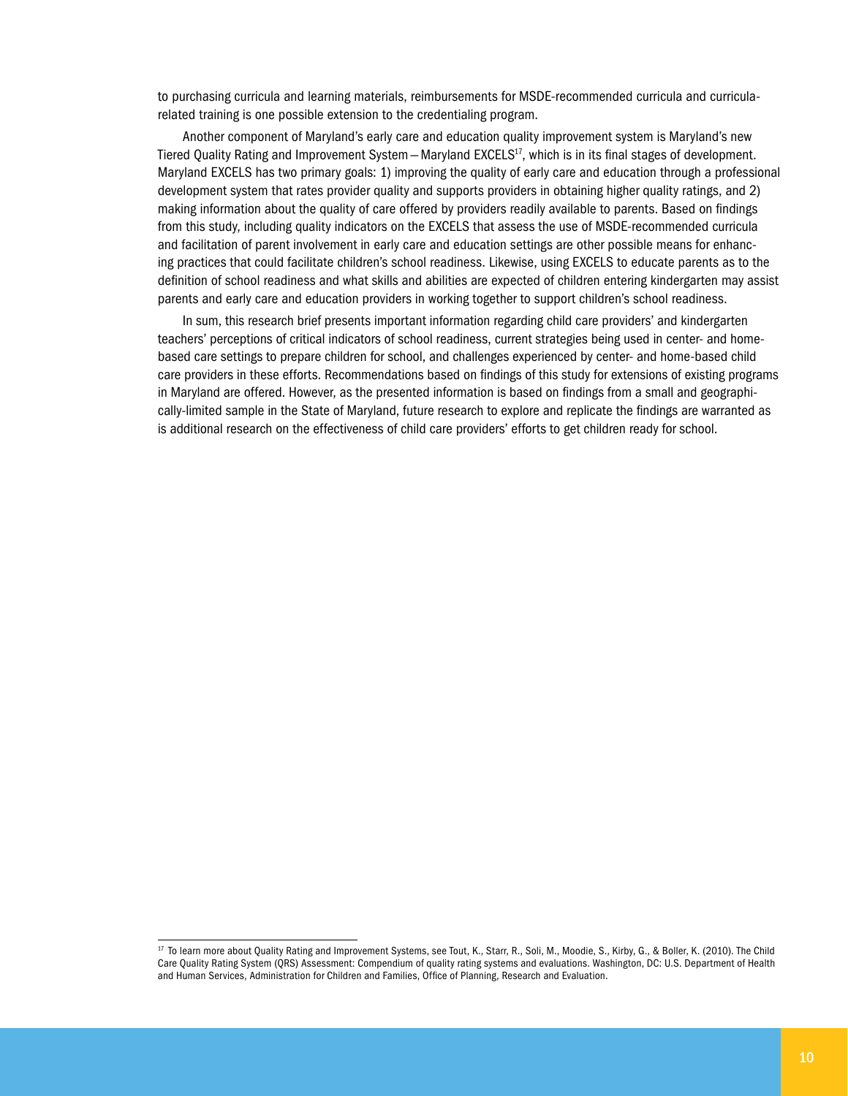to purchasing curricula and learning materials, reimbursements for MSDE-recommended curricula and curricularelated training is one possible extension to the credentialing program.

Another component of Maryland's early care and education quality improvement system is Maryland's new Tiered Quality Rating and Improvement System - Maryland EXCELS<sup>17</sup>, which is in its final stages of development. Maryland EXCELS has two primary goals: 1) improving the quality of early care and education through a professional development system that rates provider quality and supports providers in obtaining higher quality ratings, and 2) making information about the quality of care offered by providers readily available to parents. Based on findings from this study, including quality indicators on the EXCELS that assess the use of MSDE-recommended curricula and facilitation of parent involvement in early care and education settings are other possible means for enhancing practices that could facilitate children's school readiness. Likewise, using EXCELS to educate parents as to the definition of school readiness and what skills and abilities are expected of children entering kindergarten may assist parents and early care and education providers in working together to support children's school readiness.

In sum, this research brief presents important information regarding child care providers' and kindergarten teachers' perceptions of critical indicators of school readiness, current strategies being used in center- and homebased care settings to prepare children for school, and challenges experienced by center- and home-based child care providers in these efforts. Recommendations based on findings of this study for extensions of existing programs in Maryland are offered. However, as the presented information is based on findings from a small and geographically-limited sample in the State of Maryland, future research to explore and replicate the findings are warranted as is additional research on the effectiveness of child care providers' efforts to get children ready for school.

<sup>17</sup> To learn more about Quality Rating and Improvement Systems, see Tout, K., Starr, R., Soli, M., Moodie, S., Kirby, G., & Boller, K. (2010). The Child Care Quality Rating System (QRS) Assessment: Compendium of quality rating systems and evaluations. Washington, DC: U.S. Department of Health and Human Services, Administration for Children and Families, Office of Planning, Research and Evaluation.